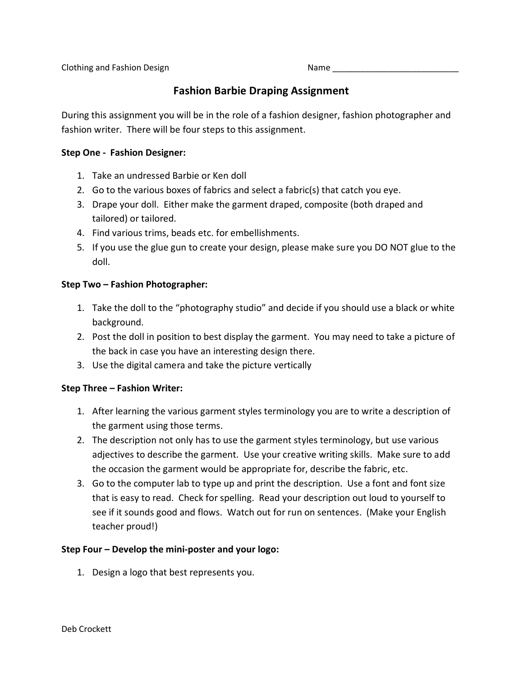Clothing and Fashion Design Name \_\_\_\_\_\_\_\_\_\_\_\_\_\_\_\_\_\_\_\_\_\_\_\_\_\_\_

# **Fashion Barbie Draping Assignment**

During this assignment you will be in the role of a fashion designer, fashion photographer and fashion writer. There will be four steps to this assignment.

#### **Step One - Fashion Designer:**

- 1. Take an undressed Barbie or Ken doll
- 2. Go to the various boxes of fabrics and select a fabric(s) that catch you eye.
- 3. Drape your doll. Either make the garment draped, composite (both draped and tailored) or tailored.
- 4. Find various trims, beads etc. for embellishments.
- 5. If you use the glue gun to create your design, please make sure you DO NOT glue to the doll.

#### **Step Two – Fashion Photographer:**

- 1. Take the doll to the "photography studio" and decide if you should use a black or white background.
- 2. Post the doll in position to best display the garment. You may need to take a picture of the back in case you have an interesting design there.
- 3. Use the digital camera and take the picture vertically

#### **Step Three – Fashion Writer:**

- 1. After learning the various garment styles terminology you are to write a description of the garment using those terms.
- 2. The description not only has to use the garment styles terminology, but use various adjectives to describe the garment. Use your creative writing skills. Make sure to add the occasion the garment would be appropriate for, describe the fabric, etc.
- 3. Go to the computer lab to type up and print the description. Use a font and font size that is easy to read. Check for spelling. Read your description out loud to yourself to see if it sounds good and flows. Watch out for run on sentences. (Make your English teacher proud!)

#### **Step Four – Develop the mini-poster and your logo:**

1. Design a logo that best represents you.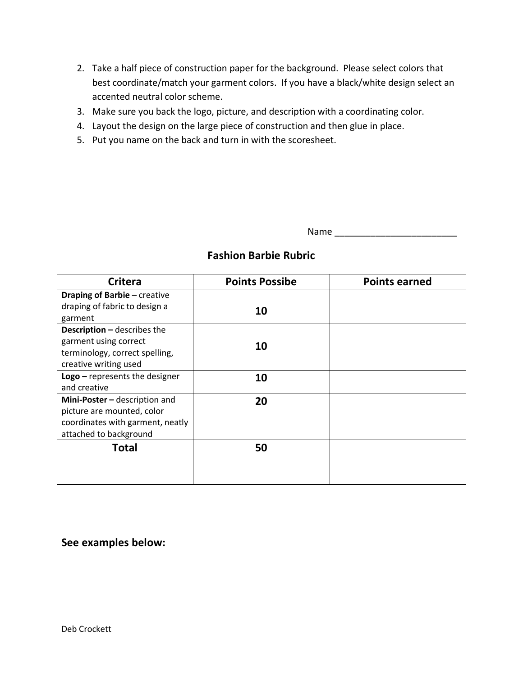- 2. Take a half piece of construction paper for the background. Please select colors that best coordinate/match your garment colors. If you have a black/white design select an accented neutral color scheme.
- 3. Make sure you back the logo, picture, and description with a coordinating color.
- 4. Layout the design on the large piece of construction and then glue in place.
- 5. Put you name on the back and turn in with the scoresheet.

Name \_\_\_\_\_\_\_\_\_\_\_\_\_\_\_\_\_\_\_\_\_\_\_\_

| <b>Critera</b>                                                                                                            | <b>Points Possibe</b> | <b>Points earned</b> |
|---------------------------------------------------------------------------------------------------------------------------|-----------------------|----------------------|
| <b>Draping of Barbie - creative</b><br>draping of fabric to design a<br>garment                                           | 10                    |                      |
| <b>Description - describes the</b><br>garment using correct<br>terminology, correct spelling,<br>creative writing used    | 10                    |                      |
| $\textsf{Logo}-\textsf{represents}$ the designer<br>and creative                                                          | 10                    |                      |
| Mini-Poster - description and<br>picture are mounted, color<br>coordinates with garment, neatly<br>attached to background | 20                    |                      |
| <b>Total</b>                                                                                                              | 50                    |                      |

## **Fashion Barbie Rubric**

### **See examples below:**